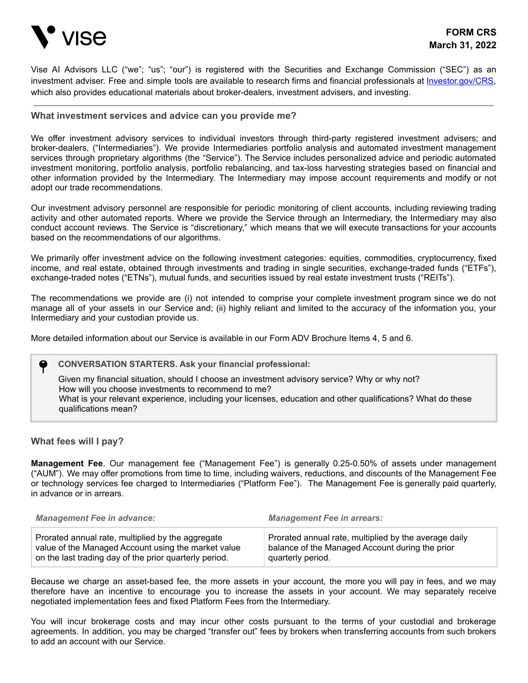

Vise AI Advisors LLC ("we"; "us"; "our") is registered with the Securities and Exchange Commission ("SEC") as an investment adviser. Free and simple tools are available to research firms and financial professionals at *Investor.gov/CRS*, which also provides educational materials about broker-dealers, investment advisers, and investing.

## **What investment services and advice can you provide me?**

We offer investment advisory services to individual investors through third-party registered investment advisers; and broker-dealers, ("Intermediaries"). We provide Intermediaries portfolio analysis and automated investment management services through proprietary algorithms (the "Service"). The Service includes personalized advice and periodic automated investment monitoring, portfolio analysis, portfolio rebalancing, and tax-loss harvesting strategies based on financial and other information provided by the Intermediary. The Intermediary may impose account requirements and modify or not adopt our trade recommendations.

Our investment advisory personnel are responsible for periodic monitoring of client accounts, including reviewing trading activity and other automated reports. Where we provide the Service through an Intermediary, the Intermediary may also conduct account reviews. The Service is "discretionary," which means that we will execute transactions for your accounts based on the recommendations of our algorithms.

We primarily offer investment advice on the following investment categories: equities, commodities, cryptocurrency, fixed income, and real estate, obtained through investments and trading in single securities, exchange-traded funds ("ETFs"), exchange-traded notes ("ETNs"), mutual funds, and securities issued by real estate investment trusts ("REITs").

The recommendations we provide are (i) not intended to comprise your complete investment program since we do not manage all of your assets in our Service and; (ii) highly reliant and limited to the accuracy of the information you, your Intermediary and your custodian provide us.

More detailed information about our Service is available in our Form ADV Brochure Items 4, 5 and 6.

### **CONVERSATION STARTERS. Ask your financial professional:**

Given my financial situation, should I choose an investment advisory service? Why or why not? How will you choose investments to recommend to me? What is your relevant experience, including your licenses, education and other qualifications? What do these qualifications mean?

### **What fees will I pay?**

**Management Fee**. Our management fee ("Management Fee") is generally 0.25-0.50% of assets under management ("AUM"). We may offer promotions from time to time, including waivers, reductions, and discounts of the Management Fee or technology services fee charged to Intermediaries ("Platform Fee"). The Management Fee is generally paid quarterly, in advance or in arrears.

| <b>Management Fee in advance:</b>                      | <b>Management Fee in arrears:</b>                     |
|--------------------------------------------------------|-------------------------------------------------------|
| Prorated annual rate, multiplied by the aggregate      | Prorated annual rate, multiplied by the average daily |
| value of the Managed Account using the market value    | balance of the Managed Account during the prior       |
| on the last trading day of the prior quarterly period. | quarterly period.                                     |

Because we charge an asset-based fee, the more assets in your account, the more you will pay in fees, and we may therefore have an incentive to encourage you to increase the assets in your account. We may separately receive negotiated implementation fees and fixed Platform Fees from the Intermediary.

You will incur brokerage costs and may incur other costs pursuant to the terms of your custodial and brokerage agreements. In addition, you may be charged "transfer out" fees by brokers when transferring accounts from such brokers to add an account with our Service.